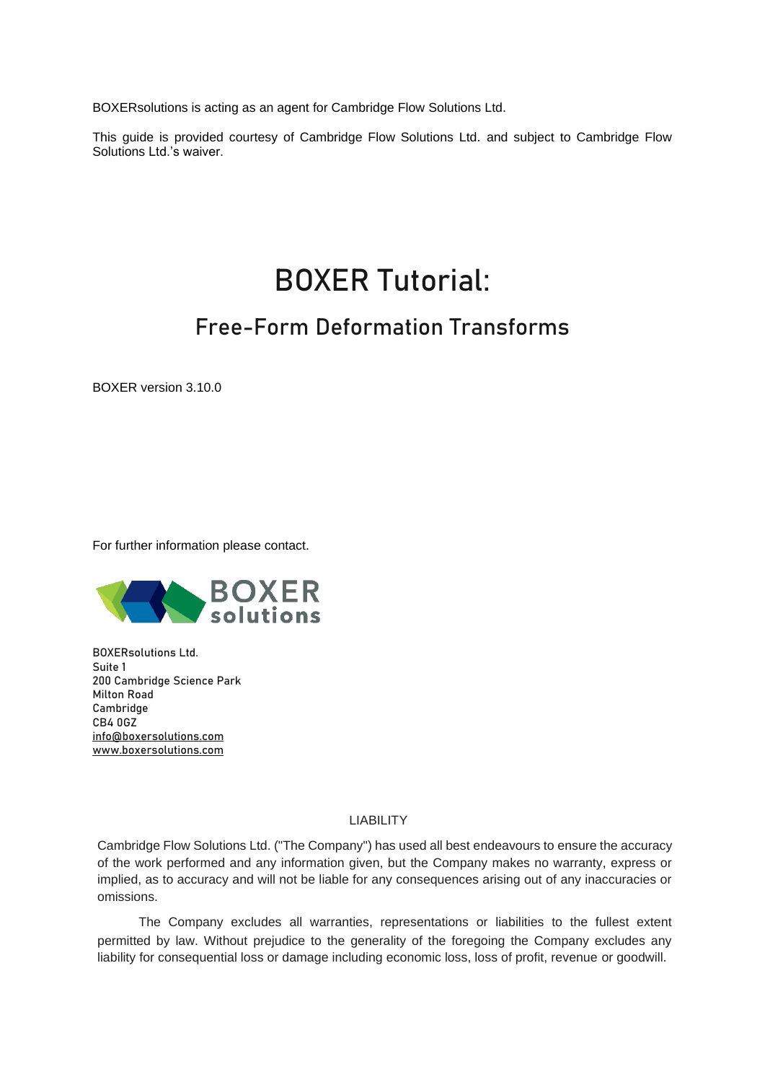BOXERsolutions is acting as an agent for Cambridge Flow Solutions Ltd.

This guide is provided courtesy of Cambridge Flow Solutions Ltd. and subject to Cambridge Flow Solutions Ltd.'s waiver.

# BOXER Tutorial:

## Free-Form Deformation Transforms

BOXER version 3.10.0

For further information please contact.



BOXERsolutions Ltd. Suite 1 200 Cambridge Science Park Milton Road Cambridge CB4 0GZ [info@boxersolutions.com](mailto:info@boxersolutions.com) [www.boxersolutions.com](http://www.boxersolutions.com/)

#### LIABILITY

Cambridge Flow Solutions Ltd. ("The Company") has used all best endeavours to ensure the accuracy of the work performed and any information given, but the Company makes no warranty, express or implied, as to accuracy and will not be liable for any consequences arising out of any inaccuracies or omissions.

The Company excludes all warranties, representations or liabilities to the fullest extent permitted by law. Without prejudice to the generality of the foregoing the Company excludes any liability for consequential loss or damage including economic loss, loss of profit, revenue or goodwill.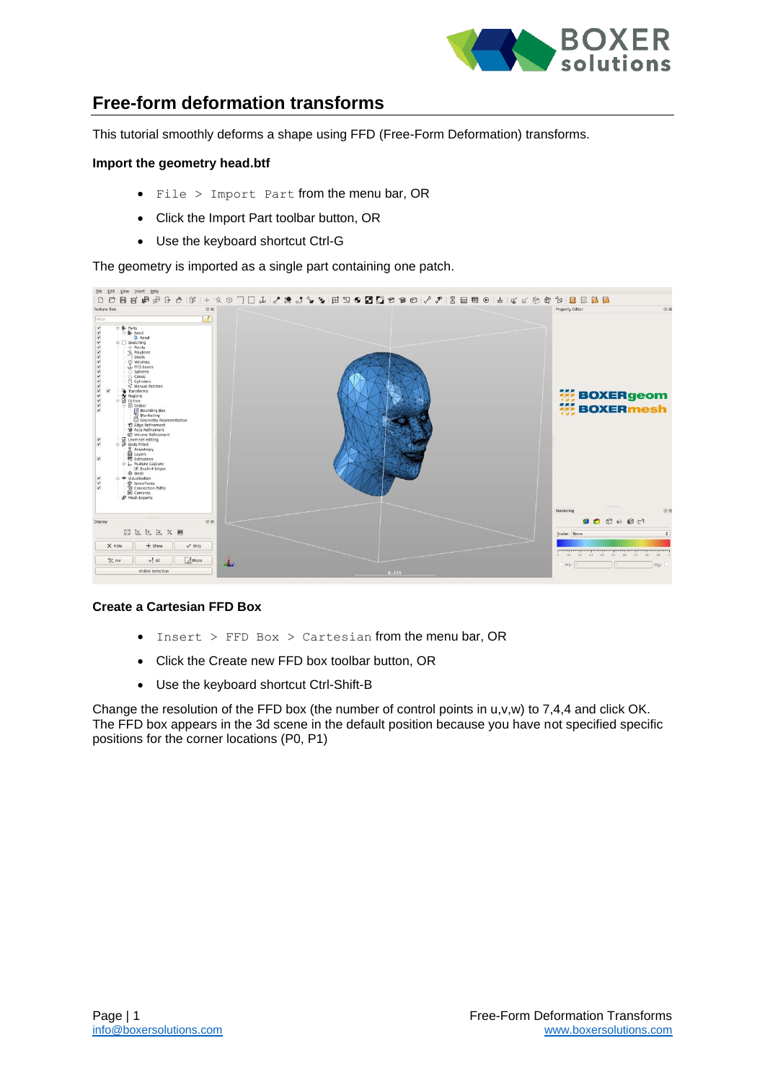

### **Free-form deformation transforms**

This tutorial smoothly deforms a shape using FFD (Free-Form Deformation) transforms.

#### **Import the geometry head.btf**

- File > Import Part from the menu bar, OR
- Click the Import Part toolbar button, OR
- Use the keyboard shortcut Ctrl-G

The geometry is imported as a single part containing one patch.



#### **Create a Cartesian FFD Box**

- Insert  $>$  FFD Box  $>$  Cartesian from the menu bar, OR
- Click the Create new FFD box toolbar button, OR
- Use the keyboard shortcut Ctrl-Shift-B

Change the resolution of the FFD box (the number of control points in u,v,w) to 7,4,4 and click OK. The FFD box appears in the 3d scene in the default position because you have not specified specific positions for the corner locations (P0, P1)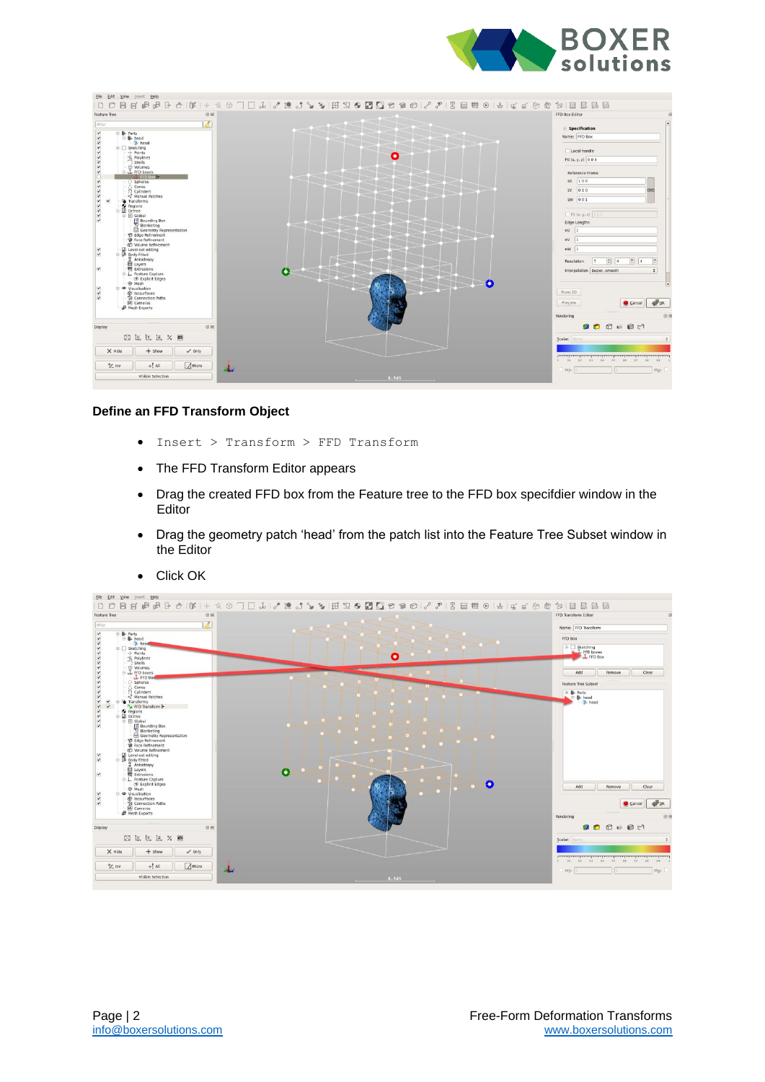



#### **Define an FFD Transform Object**

- Insert > Transform > FFD Transform
- The FFD Transform Editor appears
- Drag the created FFD box from the Feature tree to the FFD box specifdier window in the Editor
- Drag the geometry patch 'head' from the patch list into the Feature Tree Subset window in the Editor



• Click OK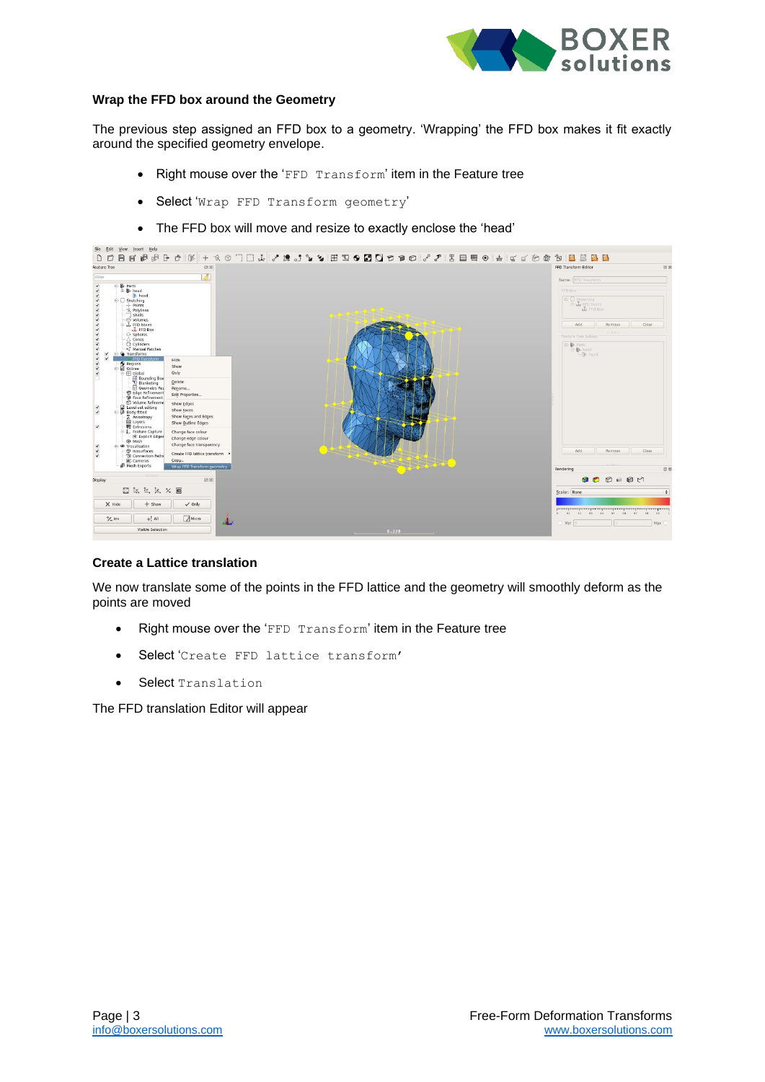

#### **Wrap the FFD box around the Geometry**

The previous step assigned an FFD box to a geometry. 'Wrapping' the FFD box makes it fit exactly around the specified geometry envelope.

- Right mouse over the 'FFD Transform' item in the Feature tree
- Select 'Wrap FFD Transform geometry'
- The FFD box will move and resize to exactly enclose the 'head'

| Feature Tree                                                                                                                                                                                                                                                                                                                                                                                                                                                                                                                                                                                                                                                                                                                                                                                                                                                                                          | 00                                                                                                                                                   | 回风<br>FFD Transform Editor                                                                                                                        |
|-------------------------------------------------------------------------------------------------------------------------------------------------------------------------------------------------------------------------------------------------------------------------------------------------------------------------------------------------------------------------------------------------------------------------------------------------------------------------------------------------------------------------------------------------------------------------------------------------------------------------------------------------------------------------------------------------------------------------------------------------------------------------------------------------------------------------------------------------------------------------------------------------------|------------------------------------------------------------------------------------------------------------------------------------------------------|---------------------------------------------------------------------------------------------------------------------------------------------------|
| Filter                                                                                                                                                                                                                                                                                                                                                                                                                                                                                                                                                                                                                                                                                                                                                                                                                                                                                                | ď                                                                                                                                                    | Name: FED Transform                                                                                                                               |
| 4444444444444444<br><b>B</b> Parts<br>⊕ <b>B</b> head<br>head<br>Sketching<br>--!- Points<br>- Q. Polylines<br><sup>1</sup> shells<br>· ⊗ Volumes<br>Ly FFD boxes<br>O Spheres<br>△ Cones<br><b>Cylinders</b><br>Manual Patches<br Transforms<br>ᢦ<br>FFD Transform<br>Regions<br><b>Q</b> Octree<br>$\overline{\mathbf{v}}$<br><b>B</b> Global<br>$\begin{array}{c}\n\text{H} \text{ Bounding Box} \\ \text{I} \text{ Blanketing}\n\end{array}$<br>Geometry Rep<br><b>Edge Refinement</b><br>Face Refinement<br>to Volume Refineme<br>E Level-set editing<br>$\prec$<br>Body-fitted<br>$\blacktriangledown$<br><b>E</b> Anisotropy<br>$\blacktriangledown$<br>E Extrusions<br>E L Feature Capture<br>Explicit Edges<br>O Mesh<br>$\blacktriangledown$<br><sup>®</sup> Visualisation<br>$\frac{1}{2}$<br><b>创</b> Isosurfaces<br><sup>1</sup> Connection Paths<br>La Cameras<br><b>B</b> Mesh Exports | Hide<br>Show<br>Only                                                                                                                                 | FFD Box<br><b>UN FED Box</b><br>Clear<br>Remove<br>Add<br><br>Feature Tree Subset<br>D-B Parts<br><b>El B</b> head<br>$-$ ( $\triangleright$ head |
|                                                                                                                                                                                                                                                                                                                                                                                                                                                                                                                                                                                                                                                                                                                                                                                                                                                                                                       | Delete<br>Rename<br>Edit Properties<br>Show Edges<br>Show Faces<br>Show Faces and Edges<br>Show Outline Edges                                        |                                                                                                                                                   |
|                                                                                                                                                                                                                                                                                                                                                                                                                                                                                                                                                                                                                                                                                                                                                                                                                                                                                                       | Change face colour<br>Change edge colour<br>Change face transparency<br>Create FFD lattice transform ><br>Copy<br><b>Wrap FFD Transform geometry</b> | Clear<br>Add<br>Remove                                                                                                                            |
|                                                                                                                                                                                                                                                                                                                                                                                                                                                                                                                                                                                                                                                                                                                                                                                                                                                                                                       |                                                                                                                                                      | 日医<br>Rendering                                                                                                                                   |
| Display                                                                                                                                                                                                                                                                                                                                                                                                                                                                                                                                                                                                                                                                                                                                                                                                                                                                                               | 88                                                                                                                                                   | 00000                                                                                                                                             |
| 图区位区义画                                                                                                                                                                                                                                                                                                                                                                                                                                                                                                                                                                                                                                                                                                                                                                                                                                                                                                |                                                                                                                                                      | $\div$<br>Scalar: None                                                                                                                            |
| $X$ Hide<br>$+$ show                                                                                                                                                                                                                                                                                                                                                                                                                                                                                                                                                                                                                                                                                                                                                                                                                                                                                  | $\checkmark$ Only                                                                                                                                    | $0$ 0.1 0.2 0.5 0.4 0.5<br>0.8<br>$-0.7$<br>0.8<br>0.9                                                                                            |
| $+2$ inv<br>$+!$ All                                                                                                                                                                                                                                                                                                                                                                                                                                                                                                                                                                                                                                                                                                                                                                                                                                                                                  | Micro<br>A.                                                                                                                                          | Min<br>Max                                                                                                                                        |

#### **Create a Lattice translation**

We now translate some of the points in the FFD lattice and the geometry will smoothly deform as the points are moved

- Right mouse over the 'FFD Transform' item in the Feature tree
- Select 'Create FFD lattice transform'
- Select Translation

The FFD translation Editor will appear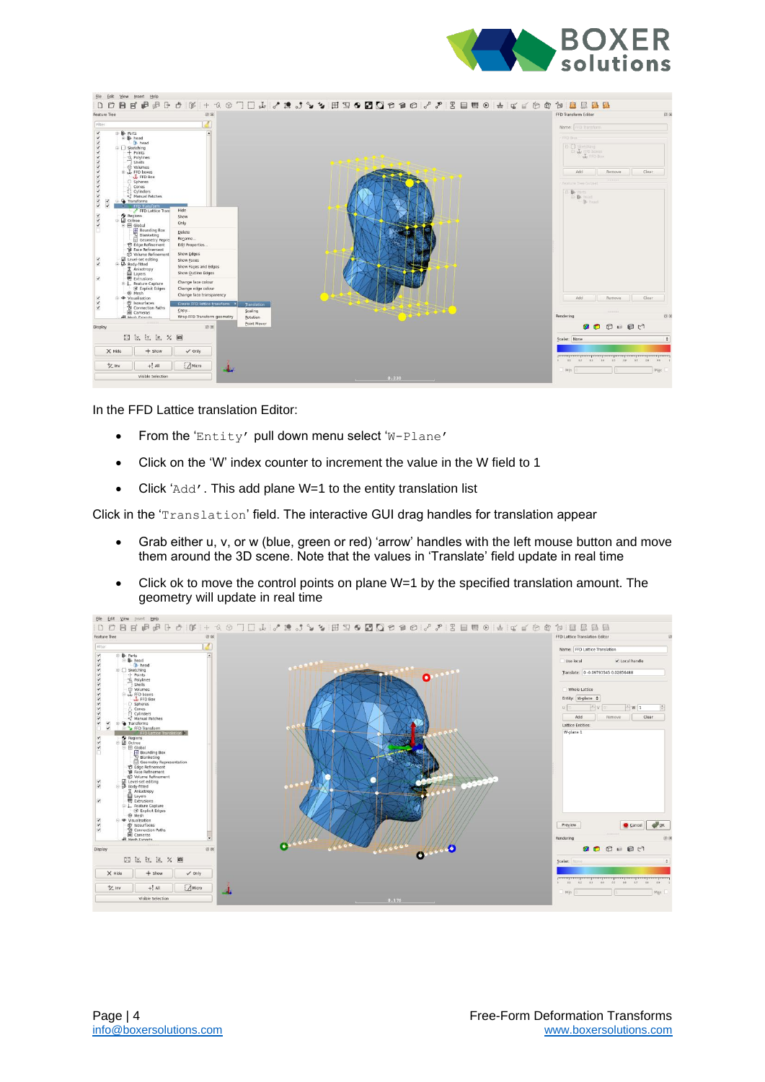



In the FFD Lattice translation Editor:

- From the 'Entity' pull down menu select 'W-Plane'
- Click on the 'W' index counter to increment the value in the W field to 1
- Click 'Add'. This add plane W=1 to the entity translation list

Click in the 'Translation' field. The interactive GUI drag handles for translation appear

- Grab either u, v, or w (blue, green or red) 'arrow' handles with the left mouse button and move them around the 3D scene. Note that the values in 'Translate' field update in real time
- Click ok to move the control points on plane W=1 by the specified translation amount. The geometry will update in real time

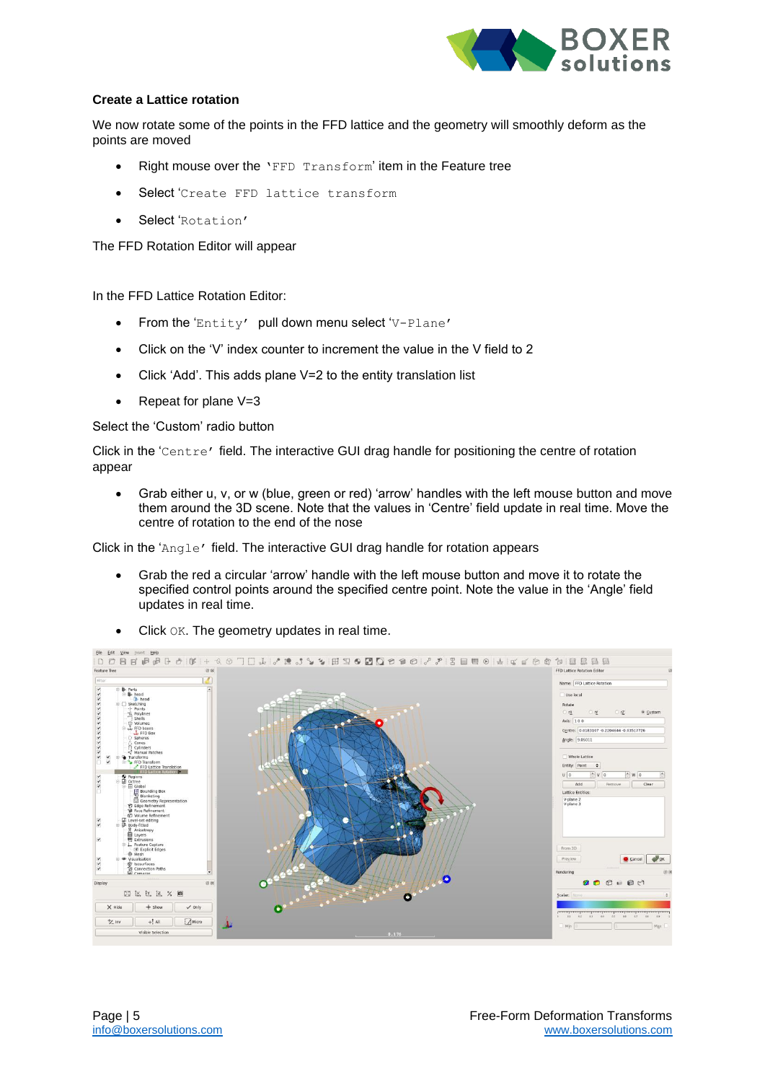

#### **Create a Lattice rotation**

We now rotate some of the points in the FFD lattice and the geometry will smoothly deform as the points are moved

- Right mouse over the 'FFD Transform' item in the Feature tree
- Select 'Create FFD lattice transform
- Select 'Rotation'

The FFD Rotation Editor will appear

In the FFD Lattice Rotation Editor:

- From the 'Entity' pull down menu select 'V-Plane'
- Click on the 'V' index counter to increment the value in the V field to 2
- Click 'Add'. This adds plane V=2 to the entity translation list
- Repeat for plane V=3

Select the 'Custom' radio button

Click in the 'Centre' field. The interactive GUI drag handle for positioning the centre of rotation appear

• Grab either u, v, or w (blue, green or red) 'arrow' handles with the left mouse button and move them around the 3D scene. Note that the values in 'Centre' field update in real time. Move the centre of rotation to the end of the nose

Click in the 'Angle' field. The interactive GUI drag handle for rotation appears

• Grab the red a circular 'arrow' handle with the left mouse button and move it to rotate the specified control points around the specified centre point. Note the value in the 'Angle' field updates in real time.



• Click OK. The geometry updates in real time.